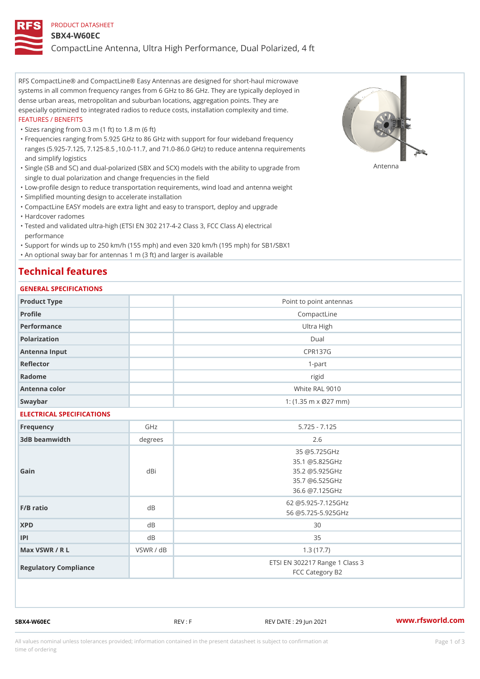#### PRODUCT DATASHEET

#### SBX4-W60EC

CompactLine Antenna, Ultra High Performance, Dual Polarized, 4 ft

RFS CompactLine® and CompactLine® Easy Antennas are designed for short-haul microwave systems in all common frequency ranges from 6 GHz to 86 GHz. They are typically deployed in dense urban areas, metropolitan and suburban locations, aggregation points. They are especially optimized to integrated radios to reduce costs, installation complexity and time. FEATURES / BENEFITS

"Sizes ranging from 0.3 m (1 ft) to 1.8 m (6 ft)

Frequencies ranging from 5.925 GHz to 86 GHz with support for four wideband frequency " ranges (5.925-7.125, 7.125-8.5 ,10.0-11.7, and 71.0-86.0 GHz) to reduce antenna requirements and simplify logistics

"Single (SB and SC) and dual-polarized (SBX and SCX) models with the abili $\mathsf{f} \gamma^{\mathsf{n}} \mathsf{t} \mathsf{B}^{\mathsf{n}} \mathsf{u} \mathsf{p} \mathsf{B}$ grade from single to dual polarization and change frequencies in the field

"Low-profile design to reduce transportation requirements, wind load and antenna weight

"Simplified mounting design to accelerate installation

 "CompactLine EASY models are extra light and easy to transport, deploy and upgrade "Hardcover radomes

Tested and validated ultra-high (ETSI EN 302 217-4-2 Class 3, FCC Class A) electrical " performance

 "Support for winds up to 250 km/h (155 mph) and even 320 km/h (195 mph) for SB1/SBX1 "An optional sway bar for antennas 1 m (3 ft) and larger is available

# Technical features

### GENERAL SPECIFICATIONS

| GENERAL SPECIFICATIONS    |           |                                                                                      |
|---------------------------|-----------|--------------------------------------------------------------------------------------|
| Product Type              |           | Point to point antennas                                                              |
| Profile                   |           | CompactLine                                                                          |
| Performance               |           | Ultra High                                                                           |
| Polarization              |           | $D$ ual                                                                              |
| Antenna Input             |           | <b>CPR137G</b>                                                                       |
| Reflector                 |           | $1 - p$ art                                                                          |
| Radome                    |           | rigid                                                                                |
| Antenna color             |           | White RAL 9010                                                                       |
| Swaybar                   |           | 1: $(1.35 m \times 027 mm)$                                                          |
| ELECTRICAL SPECIFICATIONS |           |                                                                                      |
| Frequency                 | GHz       | $5.725 - 7.125$                                                                      |
| 3dB beamwidth             | degree:   | 2.6                                                                                  |
| Gain                      | dBi       | 35 @5.725GHz<br>35.1 @5.825GHz<br>35.2 @5.925GHz<br>35.7 @6.525GHz<br>36.6 @7.125GHz |
| $F/B$ ratio               | $d$ B     | 62 @5.925-7.125GHz<br>56 @5.725-5.925GHz                                             |
| <b>XPD</b>                | $d$ B     | 30                                                                                   |
| P                         | $d$ B     | 35                                                                                   |
| Max VSWR / R L            | VSWR / dB | 1.3(17.7)                                                                            |
| Regulatory Compliance     |           | ETSI EN 302217 Range 1 Class 3<br>FCC Category B2                                    |

SBX4-W60EC REV : F REV DATE : 29 Jun 2021 [www.](https://www.rfsworld.com)rfsworld.com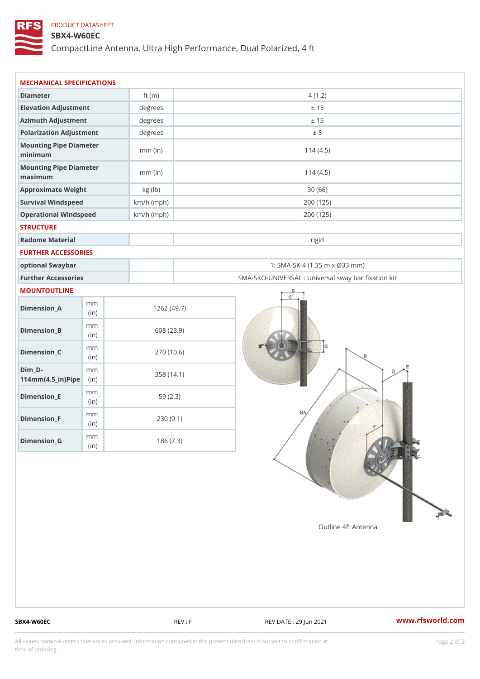## PRODUCT DATASHEET

### SBX4-W60EC

CompactLine Antenna, Ultra High Performance, Dual Polarized, 4 ft

| MECHANICAL SPECIFICATIONS                           |              |              |                                                   |  |
|-----------------------------------------------------|--------------|--------------|---------------------------------------------------|--|
| Diameter                                            |              | ft $(m)$     | 4(1.2)                                            |  |
| Elevation Adjustment                                |              | degrees      | ± 15                                              |  |
| Azimuth Adjustment                                  |              | degrees      | ± 15                                              |  |
| Polarization Adjustment                             |              | degrees      | ± 5                                               |  |
| Mounting Pipe Diameter<br>minimum                   |              | $mm$ (in)    | 114(4.5)                                          |  |
| Mounting Pipe Diameter<br>maximum                   |              | $mm$ (in)    | 114(4.5)                                          |  |
| Approximate Weight                                  |              | kg (lb)      | 30(66)                                            |  |
| Survival Windspeed                                  |              | $km/h$ (mph) | 200 (125)                                         |  |
| Operational Windspeed                               |              | $km/h$ (mph) | 200 (125)                                         |  |
| <b>STRUCTURE</b>                                    |              |              |                                                   |  |
| Radome Material                                     |              |              | rigid                                             |  |
| FURTHER ACCESSORIES                                 |              |              |                                                   |  |
| optional Swaybar                                    |              |              | 1: SMA-SK-4 (1.35 m x Ø33 mm)                     |  |
| Further Accessories                                 |              |              | SMA-SKO-UNIVERSAL : Universal sway bar fixation l |  |
| MOUNTOUTLINE                                        |              |              |                                                   |  |
| $Dimension_A$                                       | m m<br>(in)  |              | 1262(49.7)                                        |  |
| $Dimension_B$                                       | m m<br>(i n) |              | 608 (23.9)                                        |  |
| $Dimension_C$                                       | m m<br>(i n) |              | 270 (10.6)                                        |  |
| $Dim_D -$<br>$114$ m m $(4.5$ _ ir $)$ $R$ ii p $e$ | m m          |              | 358 (14.1)                                        |  |
| $Dimension$ = E                                     | m m<br>(in)  |              | 59(2.3)                                           |  |
| $Dimension_F$                                       | m m<br>(in)  |              | 230(9.1)                                          |  |
| $Diminension_G$                                     | m m<br>(in)  |              | 186(7.3)                                          |  |

SBX4-W60EC REV : F REV : REV DATE : 29 Jun 2021 WWW.rfsworld.com